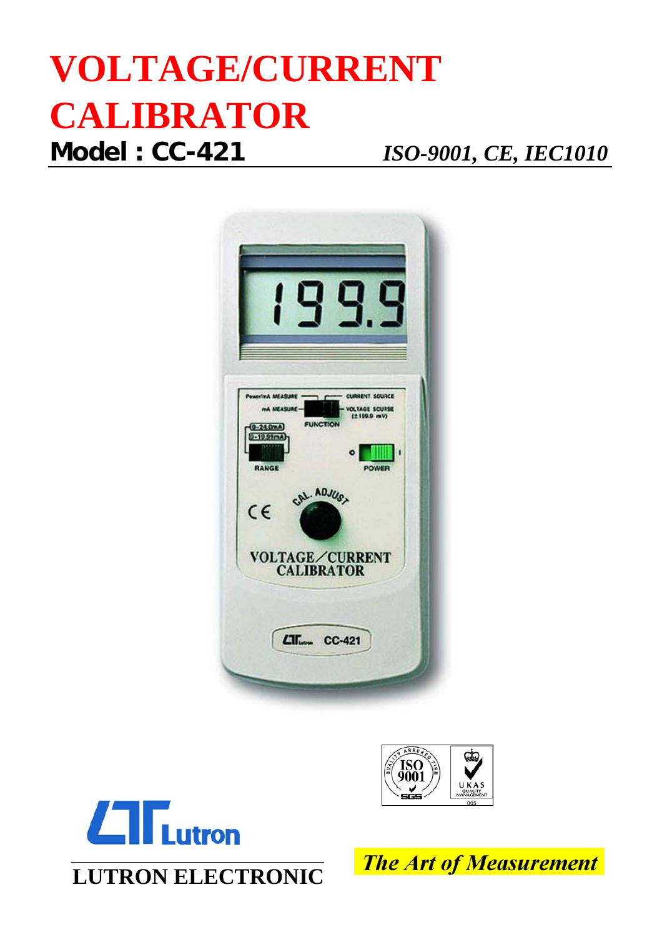## **VOLTAGE/CURRENT CALIBRATOR Model : CC-421** *ISO-9001, CE, IEC1010*







**LUTRON ELECTRONIC**

**The Art of Measurement**